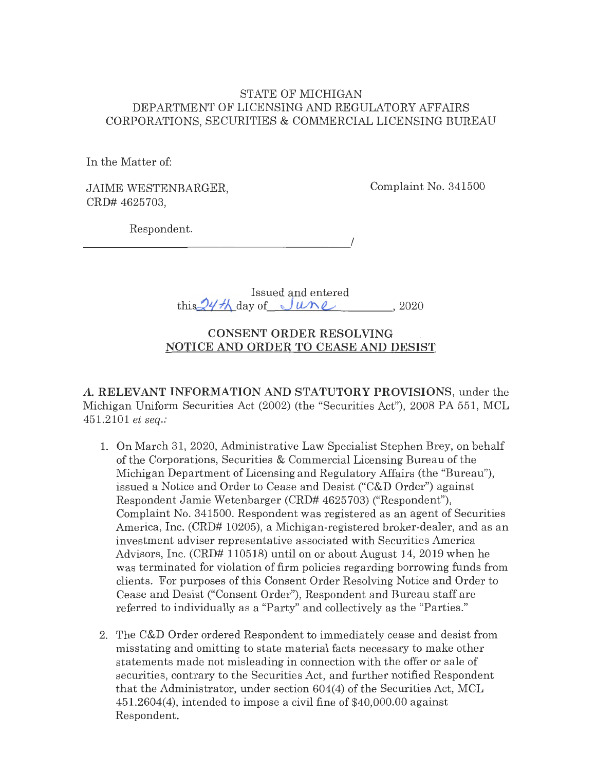### STATE OF MICHIGAN DEPARTMENT OF LICENSING AND REGULATORY AFFAIRS CORPORATIONS, SECURITIES & COMMERCIAL LICENSING BUREAU

In the Matter of:

JAIME WESTENBARGER, CRD# 4625703,

Complaint No. 341500

Respondent.

 $\overline{\phantom{a}}$ 

Issued and entered  $\text{this} \frac{24\frac{1}{1}}{\text{day of } \frac{1}{100}}$   $\text{un } \ell$ , 2020

# **CONSENT ORDER RESOLVING NOTICE AND ORDER TO CEASE AND DESIST**

*A.* **RELEVANT INFORMATION AND STATUTORY PROVISIONS,** under the Michigan Uniform Securities Act (2002) (the "Securities Act"), 2008 PA 551, MCL 451.2101 *et seq.:* 

- 1. On March 31, 2020, Administrative Law Specialist Stephen Brey, on behalf of the Corporations, Securities & Commercial Licensing Bureau of the Michigan Department of Licensing and Regulatory Affairs (the "Bureau"), issued a Notice and Order to Cease and Desist ("C&D Order") against Respondent Jamie Wetenbarger (CRD# 4625703) ("Respondent"), Complaint No. 341500. Respondent was registered as an agent of Securities America, Inc. (CRD# 10205), a Michigan-registered broker-dealer, and as an investment adviser representative associated with Securities America Advisors, Inc. (CRD# 110518) until on or about August 14, 2019 when he was terminated for violation of firm policies regarding borrowing funds from clients. For purposes of this Consent Order Resolving Notice and Order to Cease and Desist ("Consent Order"), Respondent and Bureau staff are referred to individually as a "Party" and collectively as the "Parties."
- 2. The C&D Order ordered Respondent to immediately cease and desist from misstating and omitting to state material facts necessary to make other statements made not misleading in connection with the offer or sale of securities, contrary to the Securities Act, and further notified Respondent that the Administrator, under section 604(4) of the Securities Act, MCL 451.2604(4), intended to impose a civil fine of \$40,000.00 against Respondent.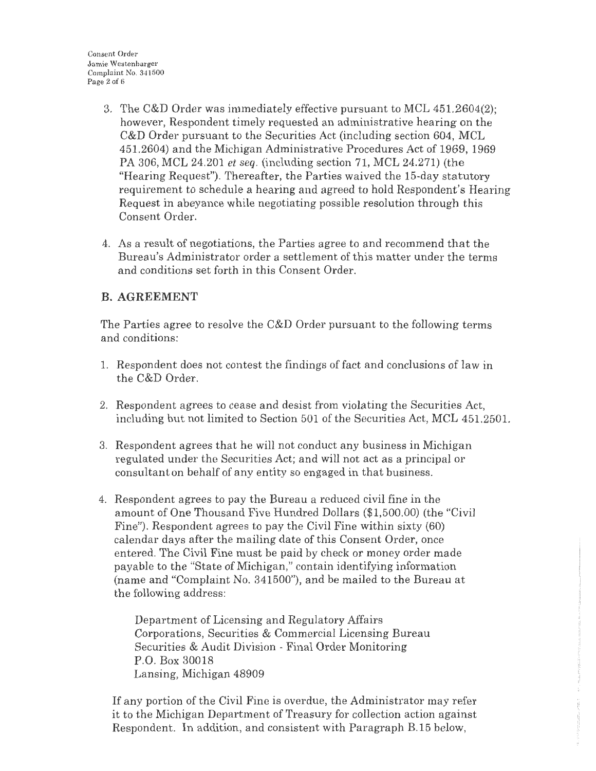- 3. The C&D Order was immediately effective pursuant to MCL 451.2604(2); however, Respondent timely requested an administrative hearing on the C&D Order pursuant to the Securities Act (including section 604, MCL 451.2604) and the Michigan Administrative Procedures Act of 1969, 1969 PA 306, MCL 24.201 *et seq.* (including section 71, MCL 24.271) (the "Hearing Request"). Thereafter, the Parties waived the 15-day statutory requirement to schedule a hearing and agreed to hold Respondent's Hearing Request in abeyance while negotiating possible resolution through this Consent Order.
- 4. As a result of negotiations, the Parties agree to and recommend that the Bureau's Administrator order a settlement of this matter under the terms and conditions set forth in this Consent Order.

# **B.AGREEMENT**

The Parties agree to resolve the C&D Order pursuant to the following terms and conditions:

- 1. Respondent does not contest the findings of fact and conclusions of law in the C&D Order.
- 2. Respondent agrees to cease and desist from violating the Securities Act, including but not limited to Section 501 of the Securities Act, MCL 451.2501.
- 3. Respondent agrees that he will not conduct any business in Michigan regulated under the Securities Act; and will not act as a principal or consultant on behalf of any entity so engaged in that business.
- 4. Respondent agrees *to* pay the Bureau a reduced civil fine in the amount of One Thousand Five Hundred Dollars (\$1,500.00) (the "Civil Fine"). Respondent agrees to pay the Civil Fine within sixty (60) calendar days after the mailing date of this Consent Order, once entered. The Civil Fine must be paid by check or money order made payable to the ''State of Michigan," contain identifying information (name and "Complaint No. 341500"), and be mailed to the Bureau at the following address:

Department of Licensing and Regulatory Affairs Corporations, Securities & Commercial Licensing Bureau Securities & Audit Division - Final Order Monitoring P.O. Box 30018 Lansing, Michigan 48909

If any portion of the Civil Fine is overdue, the Administrator may refer it to the Michigan Department of Treasury for collection action against Respondent. In addition, and consistent with Paragraph R 15 below,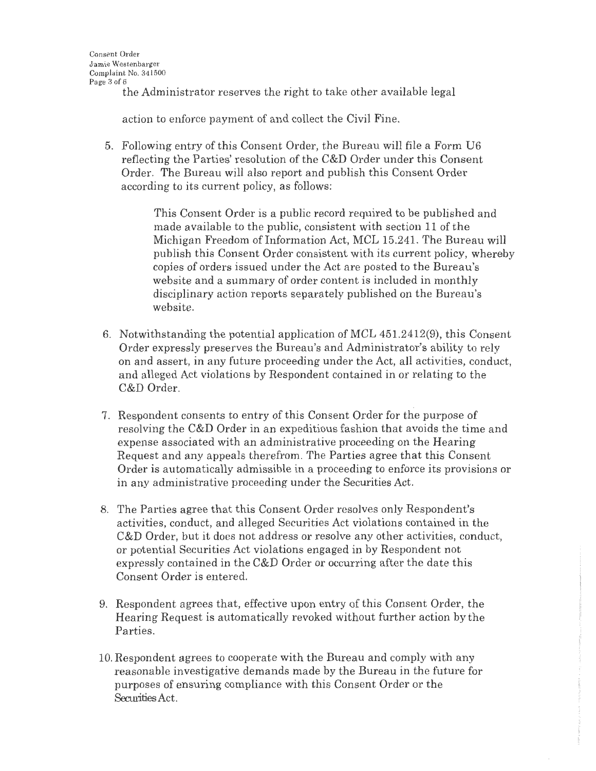the Administrator reserves the right to take other available legal

action to enforce payment of and collect the Civil Fine.

5. Following entry of this Consent Order, the Bureau will file a Form U6 reflecting the Parties' resolution of the C&D Order under this Consent Order. The Bureau will also teport and publish this Consent Order according to its current policy, as follows:

> This Consent Order is a public record required to be published and made available to the public, consistent with section 11 of the Michigan Freedom of Information Act, MCL 15.241. The Bureau will publish this Consent Order consistent with its current policy, whereby copies of orders issued under the Act are posted to the Bureau's website and a summary of order content is included in monthly disciplinary action reports separately published on the Bureau's website.

- 6. Notwithstanding the potential application of MCL 451.2412(9), this Consent Order expressly preserves the Bureau's and Administrator's ability to rely on and assert, in any future proceeding under the Act, all activities, conduct, and alleged Act violations by Respondent contained in or relating to the C&D Order.
- 7. Respondent consents to entry of this Consent Order for the purpose of resolving the C&D Order in an expeditious fashion that avoids the time and expense associated with an administrative proceeding on the Hearing Request and any appeals therefrom. The Parties agree that this Consent Order is automatically admissible in a proceeding to enforce its provisions or in any administrative proceeding under the Securities Act.
- 8. The Parties agree that this Consent Order resolves only Respondent's activities, conduct, and alleged Securities Act violations contained in the C&D Order, but it does not address or resolve any other activities, conduct, or potential Securities Act violations engaged in by Respondent not expressly contained in the C&D Order or occurring after the date this Consent Order is entered.
- 9. Respondent agrees that, effective upon entry of this Consent Order, the Hearing Request is automatically revoked without further action by the Parties.
- 10. Respondent agrees to cooperate with the Bureau and comply with any reasonable investigative demands made by the Bureau in the future for purposes of ensuring compliance with this Consent Order or the Securities Act.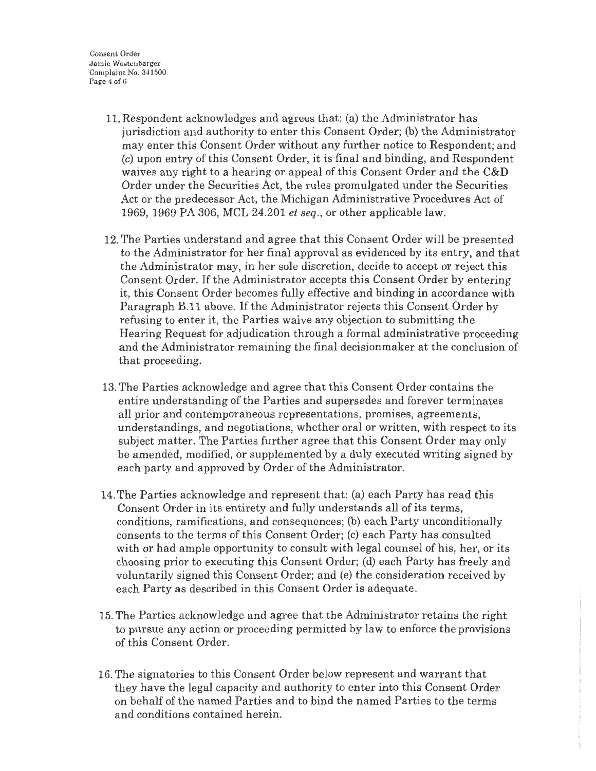Consenl Order Jamie Westenbarger Complaint No. 341500 Page 4 of 6

- 11. Respondent acknowledges and agrees that: (a) the Administrator has jurisdiction and authority to enter this Consent Order; (b) the Administrator may enter this Consent Order without any further notice to Respondent; and (c) upon entry of this Consent Order, it is final and binding, and Respondent waives any right to a hearing or appeal of this Consent Order and the C&D Order under the Securities Act, the rules promulgated under the Securities Act or the predecessor Act, the Michigan Administrative Procedures Act of 1969, 1969 PA 306, MCL 24.201 *et seq.,* or other applicable law.
- 12. The Parties understand and agree that this Consent Order will be presented to the Administrator for her final approval as evidenced by its entry, and that the Administrator may, in her sole discretion, decide to accept or reject this Consent Order. If the Administrator accepts this Consent Order by entering it, this Consent Order becomes fully effective and binding in accordance with Paragraph B.11 above. If the Administrator rejects this Consent Order by refusing to enter it, the Parties waive any objection to submitting the Hearing Request for adjudication through a formal administrative proceeding and the Administrator remaining the final decisionmaker at the conclusion of that proceeding.
- 13. The Parties acknowledge and agree that this Consent Order contains the entire understanding of the Parties and supersedes and forever terminates all prior and contemporaneous representations, promises, agreements, understandings, and negotiations, whether oral or written, with respect to its subject matter. The Parties further agree that this Consent Order may only be amended, modified, or supplemented by a duly executed writing signed by each party and approved by Order of the Administrator.
- 14. The Parties acknowledge and represent that: (a) each Party has read this Consent Order in its entirety and fully understands all of its terms, conditions, ramifications, and consequences; (b) each Party unconditionally consents to the terms of this Consent Order; (c) each Party has consulted with or had ample opportunity to consult with legal counsel of his, her, or its choosing prior to executing this Consent Order; (d) each Party has freely and voluntarily signed this Consent Order; and (e) the consideration received by each Party as described in this Consent Order is adequate.
- 15. The Parties acknowledge and agree that the Administrator retains the right to pursue any action or proceeding permitted by law to enforce the provisions of this Consent Order.
- 16. The signatories to this Consent Order below represent and warrant that they have the legal capacity and authority to enter into this Consent Order on behalf of the named Parties and to bind the named Parties to the terms and conditions contained herein.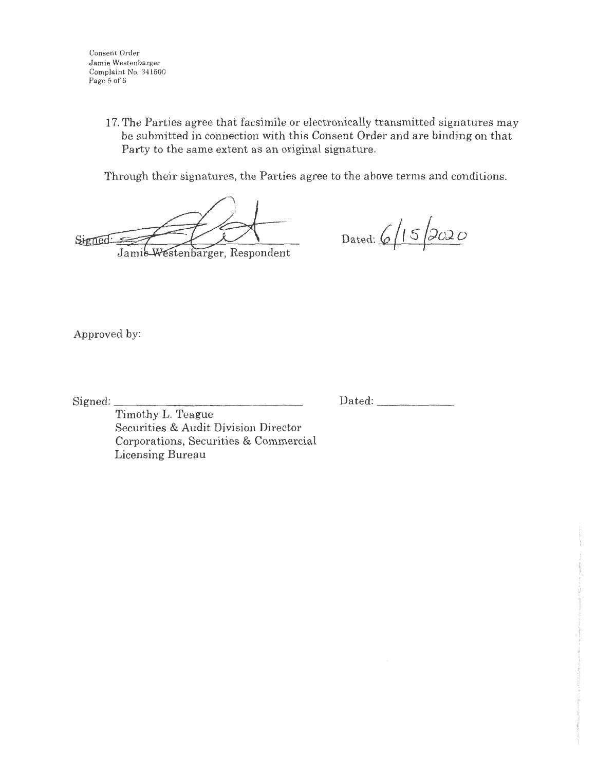Consent Order Jamie Westenbarger Complaint No. 341500 Page 5 of 6

> 17. The Parties agree that facsimile or electronically transmitted signatures may be submitted in connection with this Consent Order and are binding on that Party to the same extent as an original signature.

Through their signatures, the Parties agree to the above terms and conditions.

Signed: Jamie-Westenbarger, Respondent

Dated: 6/15/2020

Approved by:

Signed:

Dated: \_\_\_\_\_ \_

Timothy L. Teague Securities & Audit Division Director Corporations, Securities & Commercial Licensing Bureau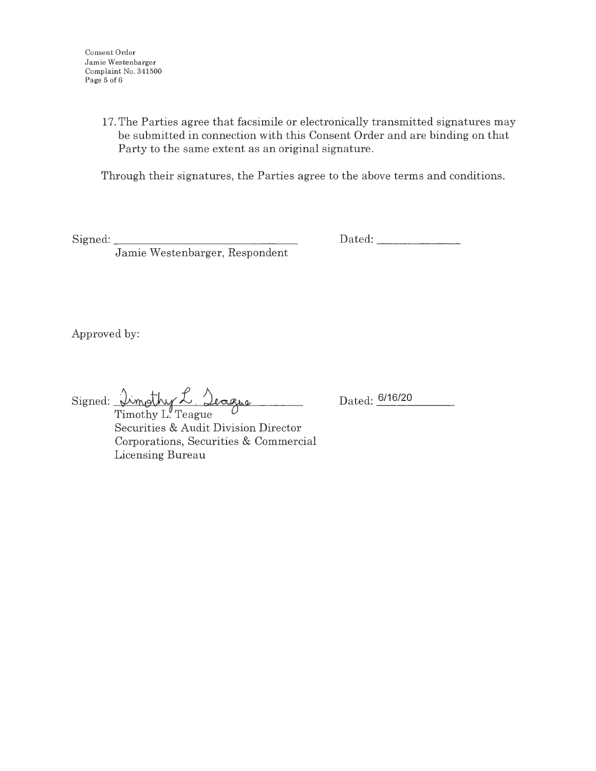17. The Parties agree that facsimile or electronically transmitted signatures may be submitted in connection with this Consent Order and are binding on that Party to the same extent as an original signature.

Through their signatures, the Parties agree to the above terms and conditions.

 ${\rm Signal:}$ 

Dated: \_\_\_\_\_ \_

Approved by:

Signed: <u>Impthy L. Jeague</u>

Dated: 6/16/20

Timothy L. Teague Securities & Audit Division Director Corporations, Securities & Commercial Licensing Bureau

Jamie Westenbarger, Respondent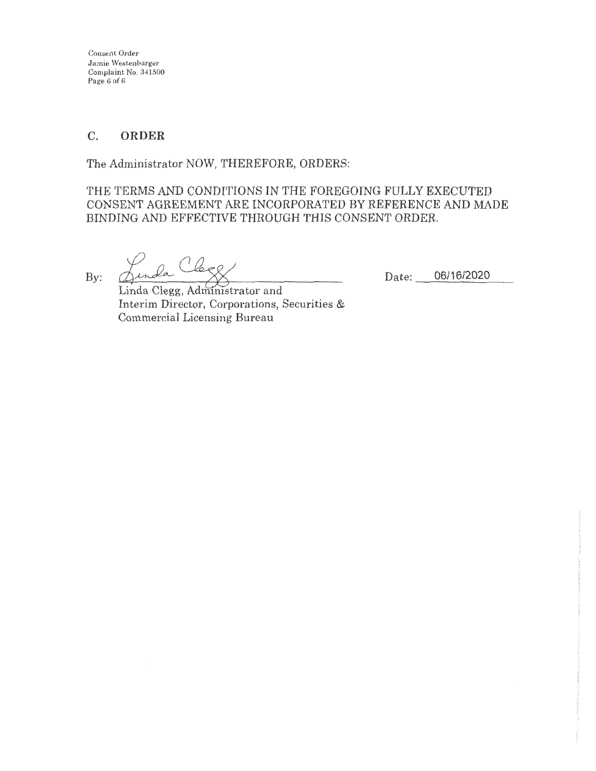Consent Order Jamie Westenbarger Complaint No. 341500 Page 6 of 6

# **C. ORDER**

The Administrator NOW, THEREFORE, ORDERS:

THE TERMS AND CONDITIONS IN THE FOREGOING FULLY EXECUTED CONSENT AGREEMENT ARE INCORPORATED BY REFERENCE AND MADE BINDING AND EFFECTIVE THROUGH THIS CONSENT ORDER.

By:

Leep la (

Date: 06/16/2020

Linda Clegg, Administrator and Interim Director, Corporations, Securities & Commercial Licensing Bureau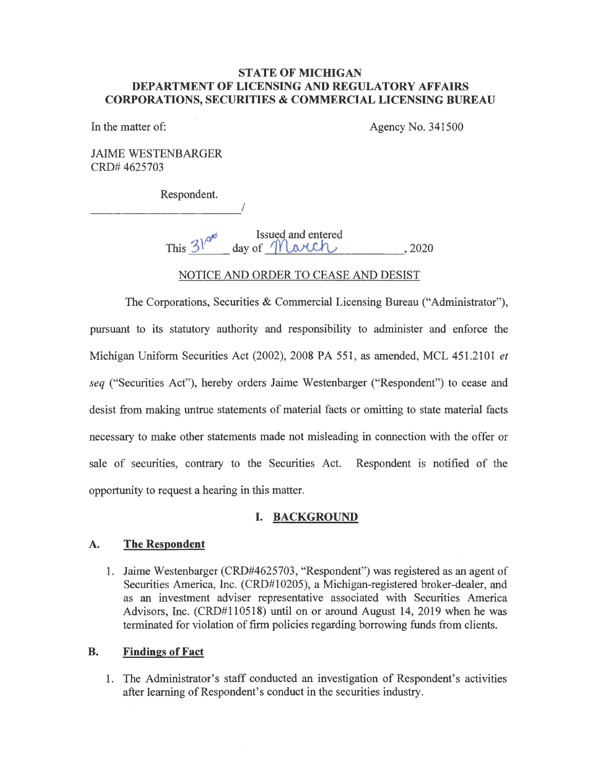#### **STATE OF MICHIGAN DEPARTMENT OF LICENSING AND REGULATORY AFFAIRS CORPORA TIO NS, SECURITIES** & **COMMERCIAL LICENSING BUREAU**

In the matter of:

Agency No. 341500

JAIME WESTENBARGER CRD# 4625703

Respondent.

I

This  $3^{6}$  aay of *March* , 2020

NOTICE AND ORDER TO CEASE AND DESIST

The Corporations, Securities & Commercial Licensing Bureau ("Administrator"), pursuant to its statutory authority and responsibility to administer and enforce the Michigan Uniform Securities Act (2002), 2008 PA 551, as amended, MCL 451.2101 *et seq* ("Securities Act"), hereby orders Jaime Westenbarger ("Respondent") to cease and desist from making untrue statements of material facts or omitting to state material facts necessary to make other statements made not misleading in connection with the offer or sale of securities, contrary to the Securities Act. Respondent is notified of the opportunity to request a hearing in this matter.

### I. **BACKGROUND**

### **A. The Respondent**

1. Jaime Westenbarger (CRD#4625703, "Respondent") was registered as an agent of Securities America, Inc. (CRD#10205), a Michigan-registered broker-dealer, and as an investment adviser representative associated with Securities America Advisors, Inc. (CRD#110518) until on or around August 14, 2019 when he was terminated for violation of firm policies regarding borrowing funds from clients.

### **B. Findings of Fact**

1. The Administrator's staff conducted an investigation of Respondent's activities after learning of Respondent's conduct in the securities industry.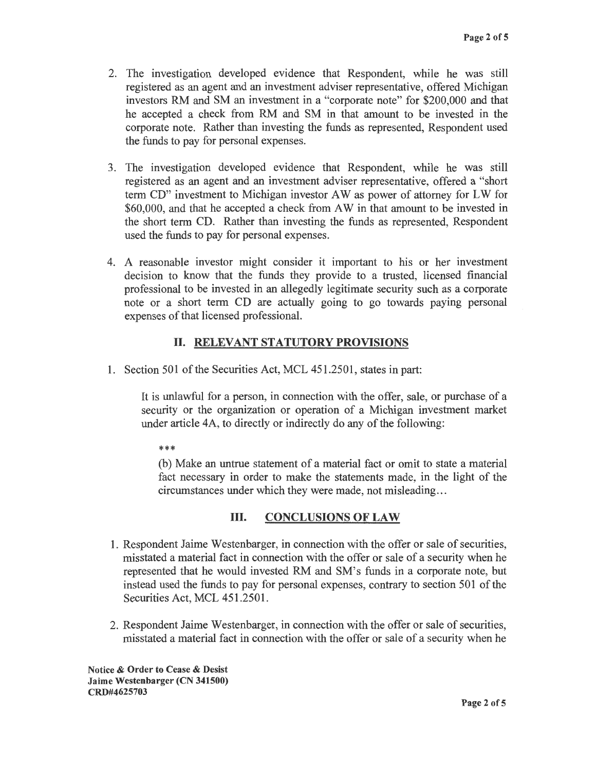- 2. The investigation developed evidence that Respondent, while he was still registered as an agent and an investment adviser representative, offered Michigan investors RM and SM an investment in a "corporate note" for \$200,000 and that he accepted a check from RM and SM in that amount to be invested in the corporate note. Rather than investing the funds as represented, Respondent used the funds to pay for personal expenses.
- 3. The investigation developed evidence that Respondent, while he was still registered as an agent and an investment adviser representative, offered a "short term CD" investment to Michigan investor AW as power of attorney for LW for \$60,000, and that he accepted a check from AW in that amount to be invested in the short term CD. Rather than investing the funds as represented, Respondent used the funds to pay for personal expenses.
- 4. A reasonable investor might consider it important to his or her investment decision to know that the funds they provide to a trusted, licensed financial professional to be invested in an allegedly legitimate security such as a corporate note or a short term CD are actually going to go towards paying personal expenses of that licensed professional.

## II. **RELEVANT STATUTORY PROVISIONS**

1. Section 501 of the Securities Act, MCL 451.2501, states in part:

It is unlawful for a person, in connection with the offer, sale, or purchase of a security or the organization or operation of a Michigan investment market under article 4A, to directly or indirectly do any of the following:

\*\*\*

(b) Make an untrue statement of a material fact or omit to state a material fact necessary in order to make the statements made, in the light of the circumstances under which they were made, not misleading ...

### III. **CONCLUSIONS OF LAW**

- 1. Respondent Jaime Westenbarger, in connection with the offer or sale of securities, misstated a material fact in connection with the offer or sale of a security when he represented that he would invested RM and SM's funds in a corporate note, but instead used the funds to pay for personal expenses, contrary to section 501 of the Securities Act, MCL 451.2501.
- 2. Respondent Jaime Westenbarger, in connection with the offer or sale of securities, misstated a material fact in connection with the offer or sale of a security when he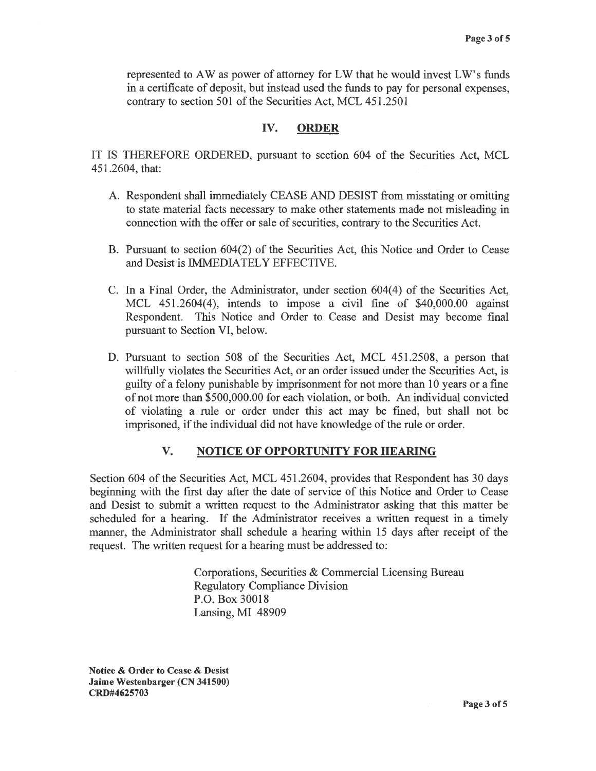represented to AW as power of attorney for LW that he would invest LW's funds in a certificate of deposit, but instead used the funds to pay for personal expenses, contrary to section 501 of the Securities Act, MCL 451.2501

#### **IV. ORDER**

IT IS THEREFORE ORDERED, pursuant to section 604 of the Securities Act, MCL 451.2604, that:

- A. Respondent shall immediately CEASE AND DESIST from misstating or omitting to state material facts necessary to make other statements made not misleading in connection with the offer or sale of securities, contrary to the Securities Act.
- B. Pursuant to section 604(2) of the Securities Act, this Notice and Order to Cease and Desist is IMMEDIATELY EFFECTIVE.
- C. In a Final Order, the Administrator, under section 604(4) of the Securities Act, MCL  $451.2604(4)$ , intends to impose a civil fine of \$40,000.00 against Respondent. This Notice and Order to Cease and Desist may become final pursuant to Section VI, below.
- D. Pursuant to section 508 of the Securities Act, MCL 451.2508, a person that willfully violates the Securities Act, or an order issued under the Securities Act, is guilty of a felony punishable by imprisonment for not more than 10 years or a fine of not more than \$500,000.00 for each violation, or both. An individual convicted of violating a rule or order under this act may be fined, but shall not be imprisoned, if the individual did not have knowledge of the rule or order.

#### **V. NOTICE OF OPPORTUNITY FOR HEARING**

Section 604 of the Securities Act, MCL 451.2604, provides that Respondent has 30 days beginning with the first day after the date of service of this Notice and Order to Cease and Desist to submit a written request to the Administrator asking that this matter be scheduled for a hearing. If the Administrator receives a written request in a timely manner, the Administrator shall schedule a hearing within 15 days after receipt of the request. The written request for a hearing must be addressed to:

> Corporations, Securities & Commercial Licensing Bureau Regulatory Compliance Division P.O. Box 30018 Lansing, MI 48909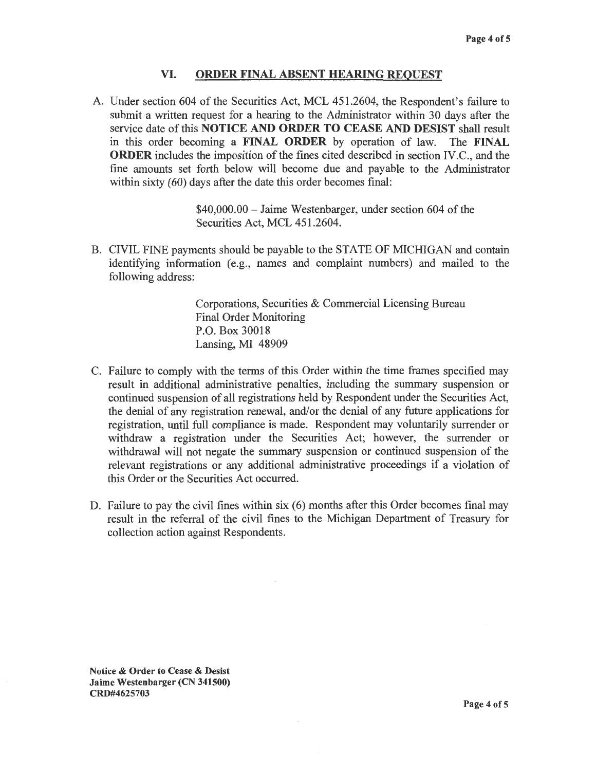#### **VI. ORDER FINAL ABSENT HEARING REQUEST**

A. Under section 604 of the Securities Act, MCL 451.2604, the Respondent's failure to submit a written request for a hearing to the Administrator within 30 days after the service date ofthis **NOTICE AND ORDER TO CEASE AND DESIST** shall result in this order becoming a **FINAL ORDER** by operation of law. The **FINAL ORDER** includes the imposition of the fines cited described in section IV.C., and the fine amounts set forth below will become due and payable to the Administrator within sixty (60) days after the date this order becomes final:

> \$40,000.00 - Jaime Westenbarger, under section 604 of the Securities Act, MCL 451.2604.

B. CIVIL FINE payments should be payable to the STATE OF MICHIGAN and contain identifying information (e.g., names and complaint numbers) and mailed to the following address:

> Corporations, Securities & Commercial Licensing Bureau Final Order Monitoring P.O. Box 30018 Lansing, MI 48909

- C. Failure to comply with the terms of this Order within the time frames specified may result in additional administrative penalties, including the summary suspension or continued suspension of all registrations held by Respondent under the Securities Act, the denial of any registration renewal, and/or the denial of any future applications for registration, until full compliance is made. Respondent may voluntarily surrender or withdraw a registration under the Securities Act; however, the surrender or withdrawal will not negate the summary suspension or continued suspension of the relevant registrations or any additional administrative proceedings if a violation of this Order or the Securities Act occurred.
- D. Failure to pay the civil fines within six (6) months after this Order becomes final may result in the referral of the civil fines to the Michigan Department of Treasury for collection action against Respondents.